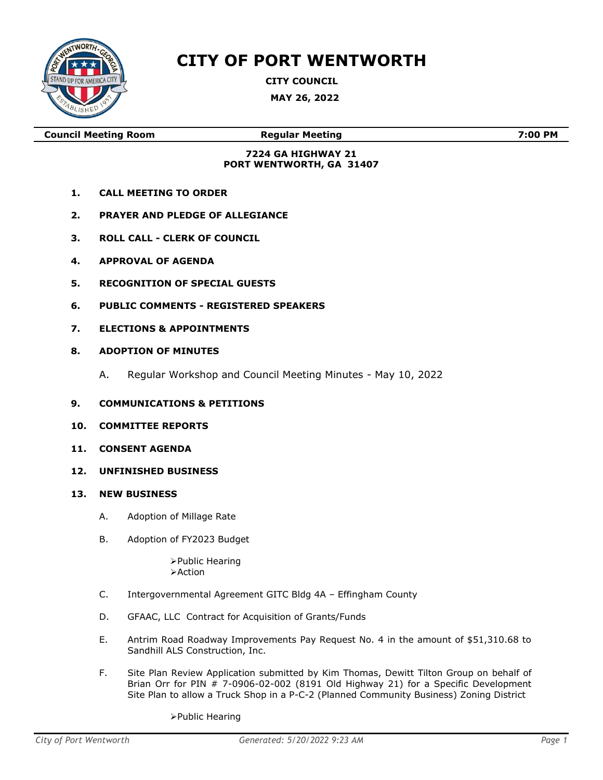

## **CITY OF PORT WENTWORTH**

**CITY COUNCIL**

**MAY 26, 2022**

**Council Meeting Room Regular Meeting 7:00 PM**

## **7224 GA HIGHWAY 21 PORT WENTWORTH, GA 31407**

- **1. CALL MEETING TO ORDER**
- **2. PRAYER AND PLEDGE OF ALLEGIANCE**
- **3. ROLL CALL - CLERK OF COUNCIL**
- **4. APPROVAL OF AGENDA**
- **5. RECOGNITION OF SPECIAL GUESTS**
- **6. PUBLIC COMMENTS - REGISTERED SPEAKERS**
- **7. ELECTIONS & APPOINTMENTS**
- **8. ADOPTION OF MINUTES**
	- A. Regular Workshop and Council Meeting Minutes May 10, 2022
- **9. COMMUNICATIONS & PETITIONS**
- **10. COMMITTEE REPORTS**
- **11. CONSENT AGENDA**
- **12. UNFINISHED BUSINESS**
- **13. NEW BUSINESS**
	- A. Adoption of Millage Rate
	- B. Adoption of FY2023 Budget

➢Public Hearing ➢Action

- C. Intergovernmental Agreement GITC Bldg 4A Effingham County
- D. GFAAC, LLC Contract for Acquisition of Grants/Funds
- E. Antrim Road Roadway Improvements Pay Request No. 4 in the amount of \$51,310.68 to Sandhill ALS Construction, Inc.
- F. Site Plan Review Application submitted by Kim Thomas, Dewitt Tilton Group on behalf of Brian Orr for PIN # 7-0906-02-002 (8191 Old Highway 21) for a Specific Development Site Plan to allow a Truck Shop in a P-C-2 (Planned Community Business) Zoning District

➢Public Hearing